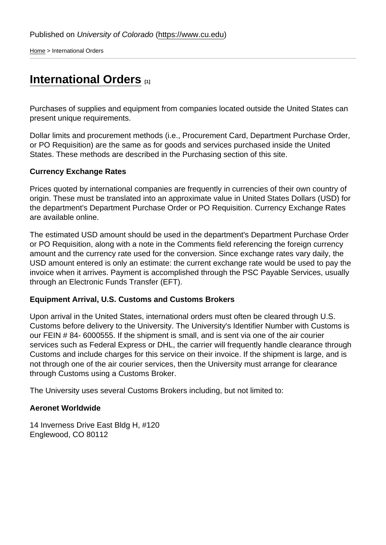[Home](https://www.cu.edu/) > International Orders

## [International Orders](https://www.cu.edu/psc/international-orders) [1]

Purchases of supplies and equipment from companies located outside the United States can present unique requirements.

Dollar limits and procurement methods (i.e., Procurement Card, Department Purchase Order, or PO Requisition) are the same as for goods and services purchased inside the United States. These methods are described in the Purchasing section of this site.

Currency Exchange Rates

Prices quoted by international companies are frequently in currencies of their own country of origin. These must be translated into an approximate value in United States Dollars (USD) for the department's Department Purchase Order or PO Requisition. Currency Exchange Rates are available online.

The estimated USD amount should be used in the department's Department Purchase Order or PO Requisition, along with a note in the Comments field referencing the foreign currency amount and the currency rate used for the conversion. Since exchange rates vary daily, the USD amount entered is only an estimate: the current exchange rate would be used to pay the invoice when it arrives. Payment is accomplished through the PSC Payable Services, usually through an Electronic Funds Transfer (EFT).

Equipment Arrival, U.S. Customs and Customs Brokers

Upon arrival in the United States, international orders must often be cleared through U.S. Customs before delivery to the University. The University's Identifier Number with Customs is our FEIN # 84- 6000555. If the shipment is small, and is sent via one of the air courier services such as Federal Express or DHL, the carrier will frequently handle clearance through Customs and include charges for this service on their invoice. If the shipment is large, and is not through one of the air courier services, then the University must arrange for clearance through Customs using a Customs Broker.

The University uses several Customs Brokers including, but not limited to:

Aeronet Worldwide

14 Inverness Drive East Bldg H, #120 Englewood, CO 80112